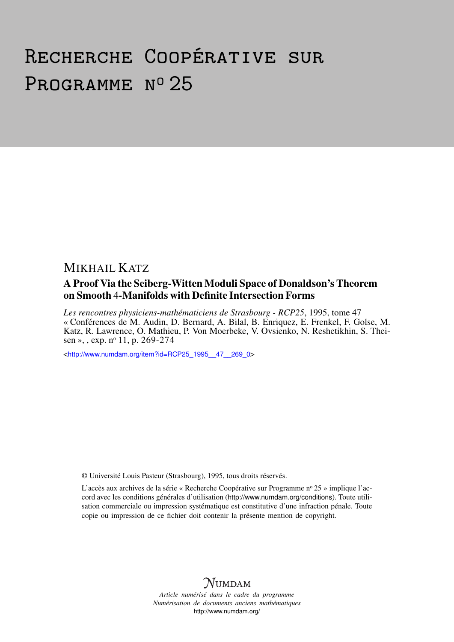# Recherche Coopérative sur PROGRAMME Nº 25

# MIKHAIL KATZ

# A Proof Via the Seiberg-Witten Moduli Space of Donaldson's Theorem on Smooth 4-Manifolds with Definite Intersection Forms

*Les rencontres physiciens-mathématiciens de Strasbourg - RCP25*, 1995, tome 47 « Conférences de M. Audin, D. Bernard, A. Bilal, B. Enriquez, E. Frenkel, F. Golse, M. Katz, R. Lawrence, O. Mathieu, P. Von Moerbeke, V. Ovsienko, N. Reshetikhin, S. Theisen », , exp. nº 11, p. 269-274

<[http://www.numdam.org/item?id=RCP25\\_1995\\_\\_47\\_\\_269\\_0](http://www.numdam.org/item?id=RCP25_1995__47__269_0)>

© Université Louis Pasteur (Strasbourg), 1995, tous droits réservés.

L'accès aux archives de la série « Recherche Coopérative sur Programme nº 25 » implique l'accord avec les conditions générales d'utilisation (<http://www.numdam.org/conditions>). Toute utilisation commerciale ou impression systématique est constitutive d'une infraction pénale. Toute copie ou impression de ce fichier doit contenir la présente mention de copyright.



*Article numérisé dans le cadre du programme Numérisation de documents anciens mathématiques* <http://www.numdam.org/>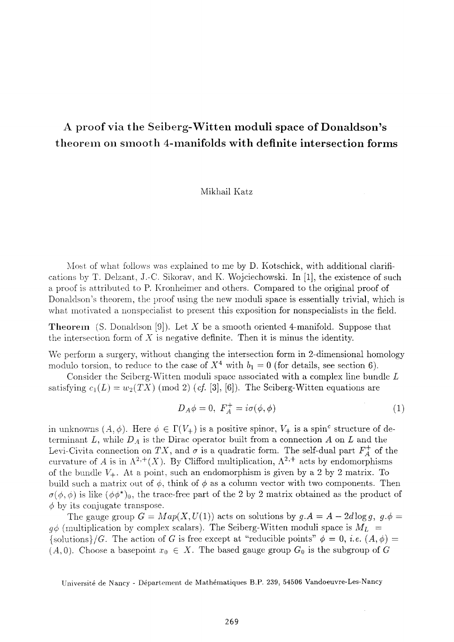# **A proof via the Seiberg-Witten moduli space of Donaldson's theorem on smooth** 4-**manifolds with definite intersection forms**

#### Mikhail Katz

Most of what follows was explained to me by D. Kotschick, with additional clarifications by T. Delzant, J.-C. Sikorav, and K. Wojciechowski. In [1], the existence of such a proof is attributed to P. Kronheimer and others. Compared to the original proof of Donaldson's theorem, the proof using the new moduli space is essentially trivial, which is what motivated a nonspecialist to present this exposition for nonspecialists in the field.

**Theorem** (S. Donaldson [9]). Let X be a smooth oriented 4-manifold. Suppose that the intersection form of *X* is negative definite. Then it is minus the identity.

We perform a surgery, without changing the intersection form in 2-dimensional homology modulo torsion, to reduce to the case of  $X^4$  with  $b_1 = 0$  (for details, see section 6).

Consider the Seiberg-Witten moduli space associated with a complex line bundle *L*  satisfying  $c_1(L) = w_2(TX) \pmod{2}$  (cf. [3], [6]). The Seiberg-Witten equations are

$$
D_A \phi = 0, \ F_A^+ = i\sigma(\phi, \phi) \tag{1}
$$

in unknowns  $(A, \phi)$ . Here  $\phi \in \Gamma(V_+)$  is a positive spinor,  $V_+$  is a spin<sup>c</sup> structure of determinant  $L$ , while  $D_A$  is the Dirac operator built from a connection  $A$  on  $L$  and the Levi-Civita connection on TX, and  $\sigma$  is a quadratic form. The self-dual part  $F_A^+$  of the curvature of A is in  $\Lambda^{2,+}(X)$ . By Clifford multiplication,  $\Lambda^{2,+}$  acts by endomorphisms of the bundle  $V_+$ . At a point, such an endomorphism is given by a 2 by 2 matrix. To build such a matrix out of  $\phi$ , think of  $\phi$  as a column vector with two components. Then  $\sigma(\phi, \phi)$  is like  $(\phi \phi^*)_0$ , the trace-free part of the 2 by 2 matrix obtained as the product of  $\phi$  by its conjugate transpose.

The gauge group  $G = Map(X, U(1))$  acts on solutions by  $g.A = A - 2d \log g$ ,  $g.\phi =$  $q\phi$  (multiplication by complex scalars). The Seiberg-Witten moduli space is  $M_L$  =  ${\lbrace \text{solutions} \rbrace}/G$ . The action of *G* is free except at "reducible points"  $\phi = 0$ , *i.e.*  $(A, \phi) =$  $(A, 0)$ . Choose a basepoint  $x_0 \in X$ . The based gauge group  $G_0$  is the subgroup of G

Université de Nancy - Département de Mathématiques Β.P. 239, 54506 Vandoeuvre-Les-Nancy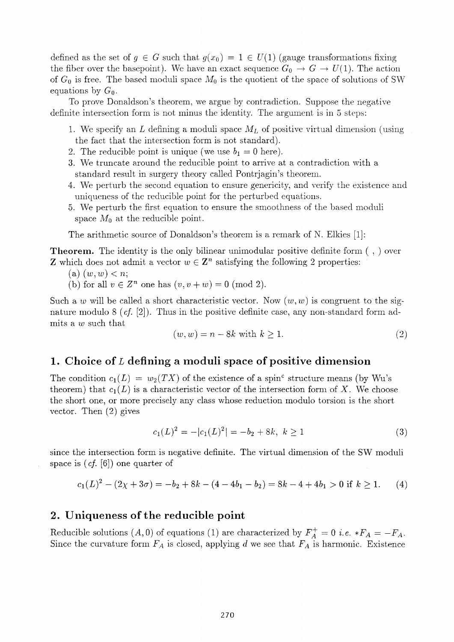defined as the set of  $q \in G$  such that  $q(x_0) = 1 \in U(1)$  (gauge transformations fixing the fiber over the basepoint). We have an exact sequence  $G_0 \rightarrow G \rightarrow U(1)$ . The action of  $G_0$  is free. The based moduli space  $M_0$  is the quotient of the space of solutions of SW equations by  $G_0$ .

To prove Donaldson's theorem, we argue by contradiction. Suppose the negative definite intersection form is not minus the identity. The argument is in 5 steps:

- 1. We specify an *L* defining a moduli space *ML* of positive virtual dimension (using the fact that the intersection form is not standard).
- 2. The reducible point is unique (we use  $b_1 = 0$  here).
- 3. We truncate around the reducible point to arrive at a contradiction with a standard result in surgery theory called Pontrjagin's theorem.
- 4. We perturb the second equation to ensure genericity, and verify the existence and uniqueness of the reducible point for the perturbed equations.
- 5. We perturb the first equation to ensure the smoothness of the based moduli space  $M_0$  at the reducible point.

The arithmetic source of Donaldson's theorem is a remark of N. Elkies [1]:

Theorem. The identity is the only bilinear unimodular positive definite form ( , ) over which does not admit a vector  $w \in \mathbb{Z}^n$  satisfying the following 2 properties:

 $(a)$   $(w, w) < n$ ;

(b) for all  $v \in \mathbb{Z}^n$  one has  $(v, v + w) = 0 \pmod{2}$ .

Such a w will be called a short characteristic vector. Now  $(w, w)$  is congruent to the signature modulo 8 *(cf.* [2]). Thus in the positive definite case, any non-standard form admits a *w* such that

$$
(w, w) = n - 8k \text{ with } k \ge 1. \tag{2}
$$

## **1. Choice of** *L* **defining a moduli space of positive dimension**

The condition  $c_1(L) = w_2(TX)$  of the existence of a spin<sup>c</sup> structure means (by Wu's theorem) that  $c_1(L)$  is a characteristic vector of the intersection form of X. We choose the short one, or more precisely any class whose reduction modulo torsion is the short vector. Then (2) gives

$$
c_1(L)^2 = -|c_1(L)^2| = -b_2 + 8k, \ k \ge 1 \tag{3}
$$

since the intersection form is negative definite. The virtual dimension of the SW moduli space is *(cf.* [6]) one quarter of

$$
c_1(L)^2 - (2\chi + 3\sigma) = -b_2 + 8k - (4 - 4b_1 - b_2) = 8k - 4 + 4b_1 > 0 \text{ if } k \ge 1. \tag{4}
$$

#### **2· Uniqueness of the reducible point**

Reducible solutions  $(A, 0)$  of equations (1) are characterized by  $F_A^+ = 0$  *i.e.*  $*F_A = -F_A$ . Since the curvature form  $F_A$  is closed, applying d we see that  $F_A$  is harmonic. Existence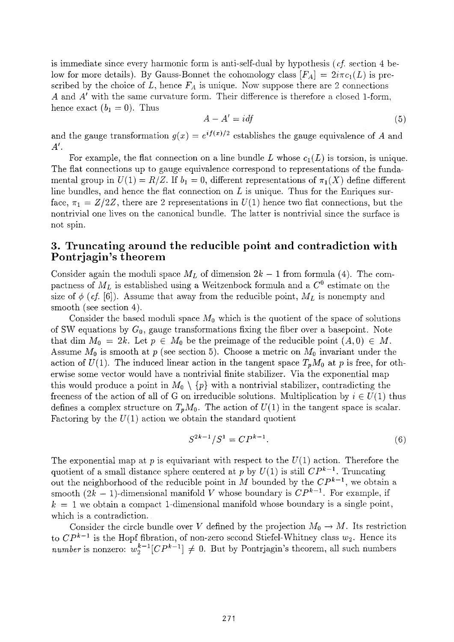is immediate since every harmonic form is anti-self-dual by hypothesis  $(cf.$  section 4 below for more details). By Gauss-Bonnet the cohomology class  $[F_A] = 2i\pi c_1(L)$  is prescribed by the choice of  $L$ , hence  $F_A$  is unique. Now suppose there are 2 connections *A* and *A<sup>1</sup>* with the same curvature form. Their difference is therefore a closed 1-form, hence exact  $(b_1 = 0)$ . Thus

$$
A - A' = idf \tag{5}
$$

and the gauge transformation  $g(x) = e^{i f(x)/2}$  establishes the gauge equivalence of A and *A 1 .* 

For example, the flat connection on a line bundle L whose  $c_1(L)$  is torsion, is unique. The flat connections up to gauge equivalence correspond to representations of the fundamental group in  $U(1) = R/Z$ . If  $b_1 = 0$ , different representations of  $\pi_1(X)$  define different line bundles, and hence the flat connection on *L* is unique. Thus for the Enriques surface,  $\pi_1 = Z/2Z$ , there are 2 representations in  $U(1)$  hence two flat connections, but the nontrivial one lives on the canonical bundle. The latter is nontrivial since the surface is not spin.

## **3. Truncating around the reducible point and contradiction with Pontrjagin's theorem**

Consider again the moduli space  $M<sub>L</sub>$  of dimension  $2k-1$  from formula (4). The compactness of *ML* is established using a Weitzenbock formula and a *C°* estimate on the size of  $\phi$  (*cf.* [6]). Assume that away from the reducible point,  $M_L$  is nonempty and smooth (see section 4).

Consider the based moduli space  $M_0$  which is the quotient of the space of solutions of SW equations by  $G_0$ , gauge transformations fixing the fiber over a basepoint. Note that dim  $M_0 = 2k$ . Let  $p \in M_0$  be the preimage of the reducible point  $(A,0) \in M$ . Assume  $M_0$  is smooth at  $p$  (see section 5). Choose a metric on  $M_0$  invariant under the action of  $U(1)$ . The induced linear action in the tangent space  $T_pM_0$  at p is free, for otherwise some vector would have a nontrivial finite stabilizer. Via the exponential map this would produce a point in  $M_0 \setminus \{p\}$  with a nontrivial stabilizer, contradicting the freeness of the action of all of G on irreducible solutions. Multiplication by  $i \in U(1)$  thus defines a complex structure on  $T_pM_0$ . The action of  $U(1)$  in the tangent space is scalar. Factoring by the  $U(1)$  action we obtain the standard quotient

$$
S^{2k-1}/S^1 = CP^{k-1}.
$$
 (6)

The exponential map at p is equivariant with respect to the  $U(1)$  action. Therefore the quotient of a small distance sphere centered at p by  $U(1)$  is still  $\mathbb{CP}^{k-1}$ . Truncating out the neighborhood of the reducible point in *M* bounded by the  $\mathbb{CP}^{k-1}$ , we obtain a smooth  $(2k - 1)$ -dimensional manifold V whose boundary is  $\mathbb{CP}^{k-1}$ . For example, if  $k = 1$  we obtain a compact 1-dimensional manifold whose boundary is a single point, which is a contradiction.

Consider the circle bundle over *V* defined by the projection  $M_0 \to M$ . Its restriction to  $\mathbb{CP}^{k-1}$  is the Hopf fibration, of non-zero second Stiefel-Whitney class  $w_2$ . Hence its *number* is nonzero:  $w_2^{k-1}[CP^{k-1}] \neq 0$ . But by Pontrjagin's theorem, all such numbers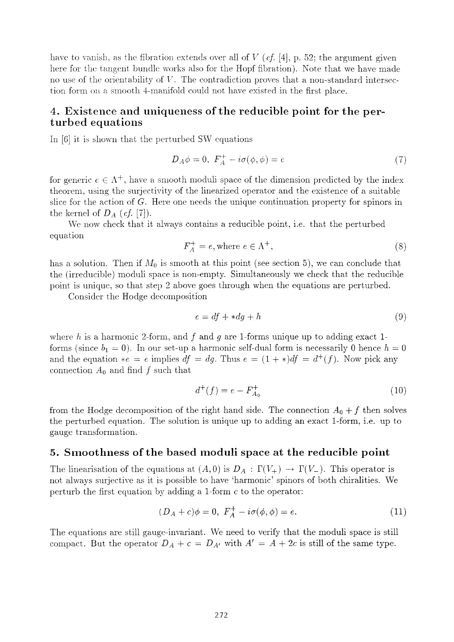have to vanish, as the fibration extends over all of *V (cf.* [4], p. 52; the argument given here for the tangent bundle works also for the Hopf fibration). Note that we have made no use of the orientability of *V.* The contradiction proves that a non-standard intersection form on a smooth 4-manifold could not have existed in the first place.

#### 4. **Existence and uniqueness of the reducible point for the perturbed equations**

In [6] it is shown that the perturbed SW equations

$$
D_A \phi = 0, \ F_A^+ - i\sigma(\phi, \phi) = e \tag{7}
$$

for generic  $e \in \Lambda^+$ , have a smooth moduli space of the dimension predicted by the index theorem, using the surjectivity of the linearized operator and the existence of a suitable slice for the action of *G.* Here one needs the unique continuation property for spinors in the kernel of  $D_A$  (*cf.* [7]).

We now check that it always contains a reducible point, i.e. that the perturbed equation

$$
F_A^+ = e, \text{where } e \in \Lambda^+, \tag{8}
$$

has a solution. Then if  $M_0$  is smooth at this point (see section 5), we can conclude that the (irreducible) moduli space is non-empty. Simultaneously we check that the reducible point is unique, so that step 2 above goes through when the equations are perturbed.

Consider the Hodge decomposition

$$
e = df + * dg + h \tag{9}
$$

where  $h$  is a harmonic 2-form, and  $f$  and  $g$  are 1-forms unique up to adding exact 1forms (since  $b_1 = 0$ ). In our set-up a harmonic self-dual form is necessarily 0 hence  $h = 0$ and the equation  $*e = e$  implies  $df = dg$ . Thus  $e = (1 + *)df = d^+(f)$ . Now pick any connection  $A_0$  and find  $f$  such that

$$
d^+(f) = e - F_{A_0}^+ \tag{10}
$$

from the Hodge decomposition of the right hand side. The connection  $A_0 + f$  then solves the perturbed equation. The solution is unique up to adding an exact 1-form, i.e. up to gauge transformation.

#### 5· **Smoothness of the based moduli space at the reducible point**

The linearisation of the equations at  $(A,0)$  is  $D_A : \Gamma(V_+) \to \Gamma(V_-)$ . This operator is not always surjective as it is possible to have 'harmonic' spinors of both chiralities. We perturb the first equation by adding a 1-form *c* to the operator:

$$
(D_A + c)\phi = 0, \ F_A^+ - i\sigma(\phi, \phi) = e. \tag{11}
$$

The equations are still gauge-invariant. We need to verify that the moduli space is still compact. But the operator  $D_A + c = D_{A'}$  with  $A' = A + 2c$  is still of the same type.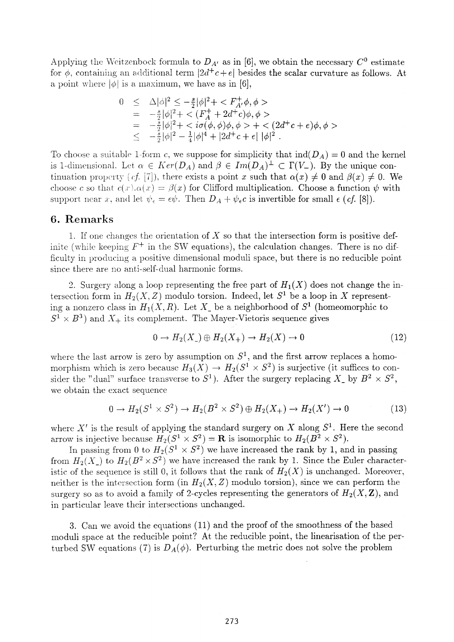Applying the Weitzenbock formula to  $D_{A'}$  as in [6], we obtain the necessary  $C^0$  estimate for  $\phi$ , containing an additional term  $|2d^+c + e|$  besides the scalar curvature as follows. At a point where  $|\phi|$  is a maximum, we have as in [6],

$$
0 \leq \Delta |\phi|^2 \leq -\frac{s}{2} |\phi|^2 + \langle F_A^+ \phi, \phi \rangle
$$
  
\n
$$
= -\frac{s}{2} |\phi|^2 + \langle (F_A^+ + 2d^+ c)\phi, \phi \rangle
$$
  
\n
$$
= -\frac{s}{2} |\phi|^2 + \langle i\sigma(\phi, \phi)\phi, \phi \rangle + \langle (2d^+ c + e)\phi, \phi \rangle
$$
  
\n
$$
\leq -\frac{s}{2} |\phi|^2 - \frac{1}{4} |\phi|^4 + |2d^+ c + e| |\phi|^2.
$$

To choose a suitable 1-form c, we suppose for simplicity that  $\text{ind}(D_A) = 0$  and the kernel is 1-dimensional. Let  $\alpha \in Ker(D_A)$  and  $\beta \in Im(D_A)^{\perp} \subset \Gamma(V_-)$ . By the unique continuation property *(cf.* [7]), there exists a point x such that  $\alpha(x) \neq 0$  and  $\beta(x) \neq 0$ . We choose c so that  $c(x) \cdot a(x) = \beta(x)$  for Clifford multiplication. Choose a function  $\psi$  with support near *x*, and let  $\psi_{\epsilon} = \epsilon \psi$ . Then  $D_A + \psi_{\epsilon} c$  is invertible for small  $\epsilon$  (*cf.* [8]).

#### **6. Remarks**

1. If one changes the orientation of *X* so that the intersection form is positive definite (while keeping  $F^+$  in the SW equations), the calculation changes. There is no difficulty in producing a positive dimensional moduli space, but there is no reducible point since there are no anti-self-dual harmonic forms.

2. Surgery along a loop representing the free part of  $H_1(X)$  does not change the intersection form in  $H_2(X, Z)$  modulo torsion. Indeed, let  $S^1$  be a loop in X representing a nonzero class in  $H_1(X,R)$ . Let  $X_{\perp}$  be a neighborhood of  $S^1$  (homeomorphic to  $S^1 \times B^3$  and  $X_+$  its complement. The Mayer-Vietoris sequence gives

$$
0 \to H_2(X_{-}) \oplus H_2(X_{+}) \to H_2(X) \to 0 \tag{12}
$$

where the last arrow is zero by assumption on  $S^1$ , and the first arrow replaces a homomorphism which is zero because  $H_3(X) \to H_2(S^1 \times S^2)$  is surjective (it suffices to consider the "dual" surface transverse to  $S^1$ ). After the surgery replacing  $X_{\perp}$  by  $B^2 \times S^2$ , we obtain the exact sequence

$$
0 \to H_2(S^1 \times S^2) \to H_2(B^2 \times S^2) \oplus H_2(X_+) \to H_2(X') \to 0 \tag{13}
$$

where  $X'$  is the result of applying the standard surgery on X along  $S<sup>1</sup>$ . Here the second arrow is injective because  $H_2(S^1 \times S^2) = \mathbf{R}$  is isomorphic to  $H_2(B^2 \times S^2)$ .

In passing from 0 to  $H_2(S^1 \times S^2)$  we have increased the rank by 1, and in passing from  $H_2(X)$  to  $H_2(B^2 \times S^2)$  we have increased the rank by 1. Since the Euler characteristic of the sequence is still 0, it follows that the rank of  $H_2(X)$  is unchanged. Moreover, neither is the intersection form (in  $H_2(X, Z)$  modulo torsion), since we can perform the surgery so as to avoid a family of 2-cycles representing the generators of  $H_2(X, \mathbb{Z})$ , and in particular leave their intersections unchanged.

3. Can we avoid the equations (11) and the proof of the smoothness of the based moduli space at the reducible point? At the reducible point, the linearisation of the perturbed SW equations (7) is  $D_A(\phi)$ . Perturbing the metric does not solve the problem